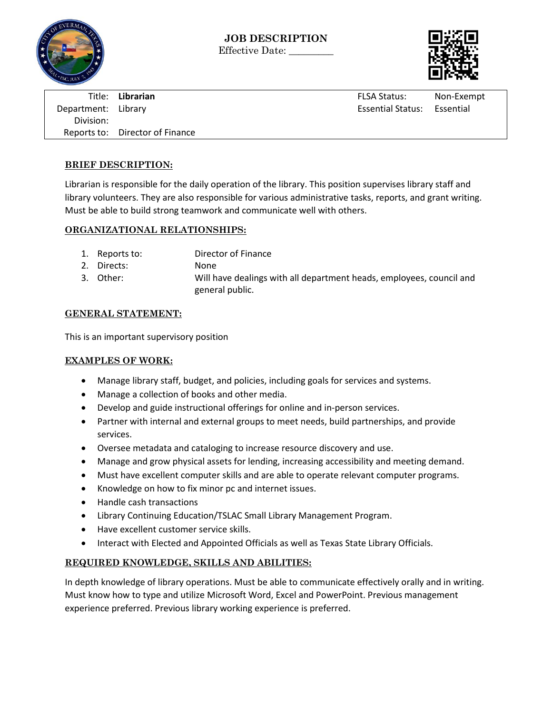



Title: **Librarian** FLSA Status: Non-Exempt Department: Library **Essential Status: Essential Status: Essential Status: Essential Status: Essential Status: Essential Status: Essential Status: Essential Status: Essential Status: Essential Status: Essential Status: Ess** Division: Reports to: Director of Finance

# **BRIEF DESCRIPTION:**

Librarian is responsible for the daily operation of the library. This position supervises library staff and library volunteers. They are also responsible for various administrative tasks, reports, and grant writing. Must be able to build strong teamwork and communicate well with others.

# **ORGANIZATIONAL RELATIONSHIPS:**

- 1. Reports to: Director of Finance
- 2. Directs: None
- 3. Other: Will have dealings with all department heads, employees, council and general public.

# **GENERAL STATEMENT:**

This is an important supervisory position

#### **EXAMPLES OF WORK:**

- Manage library staff, budget, and policies, including goals for services and systems.
- Manage a collection of books and other media.
- Develop and guide instructional offerings for online and in-person services.
- Partner with internal and external groups to meet needs, build partnerships, and provide services.
- Oversee metadata and cataloging to increase resource discovery and use.
- Manage and grow physical assets for lending, increasing accessibility and meeting demand.
- Must have excellent computer skills and are able to operate relevant computer programs.
- Knowledge on how to fix minor pc and internet issues.
- Handle cash transactions
- Library Continuing Education/TSLAC Small Library Management Program.
- Have excellent customer service skills.
- Interact with Elected and Appointed Officials as well as Texas State Library Officials.

#### **REQUIRED KNOWLEDGE, SKILLS AND ABILITIES:**

In depth knowledge of library operations. Must be able to communicate effectively orally and in writing. Must know how to type and utilize Microsoft Word, Excel and PowerPoint. Previous management experience preferred. Previous library working experience is preferred.